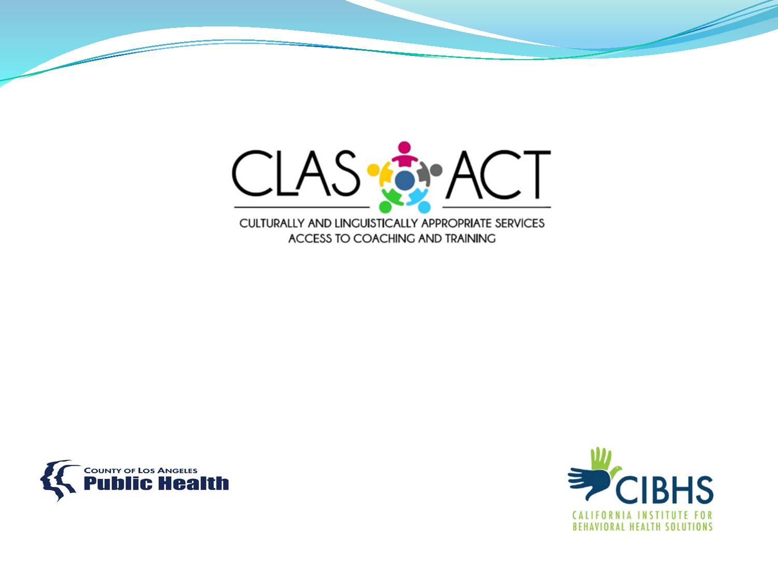



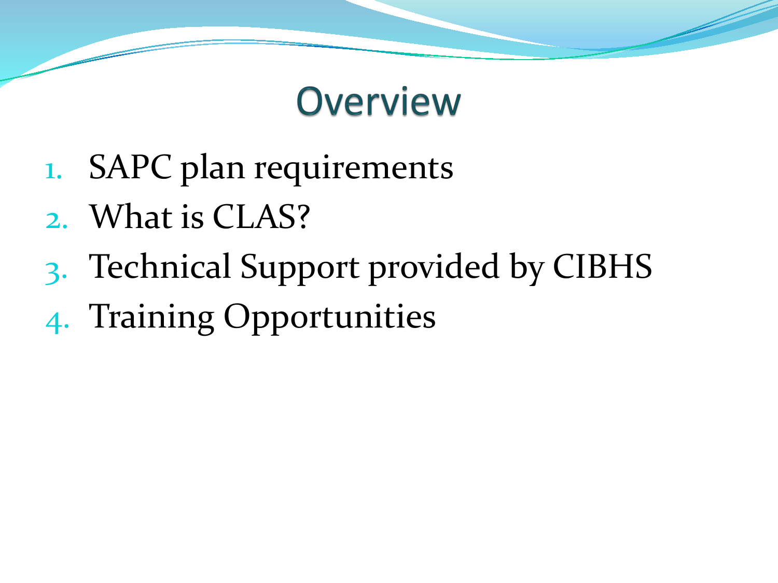#### **Overview**

- 1. SAPC plan requirements
- 2. What is CLAS?
- 3. Technical Support provided by CIBHS
- 4. Training Opportunities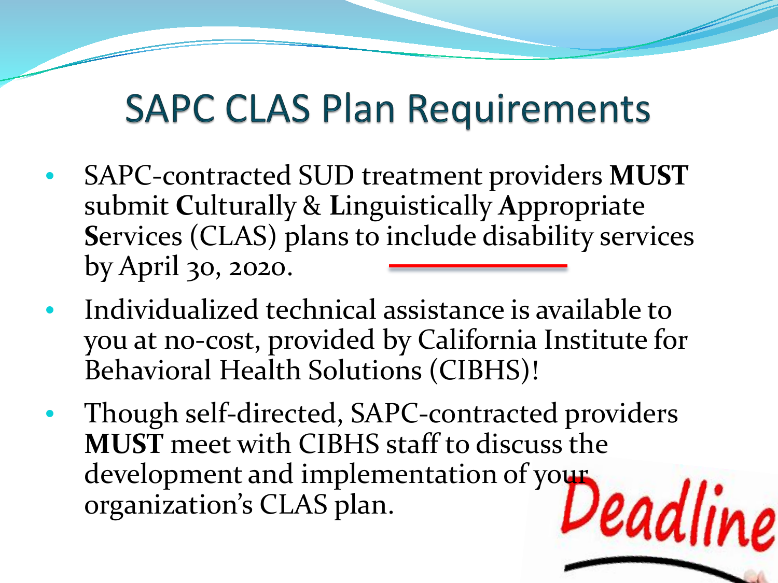#### **SAPC CLAS Plan Requirements**

- SAPC-contracted SUD treatment providers **MUST** submit **C**ulturally & **L**inguistically **A**ppropriate **S**ervices (CLAS) plans to include disability services by April 30, 2020.
- Individualized technical assistance is available to you at no-cost, provided by California Institute for Behavioral Health Solutions (CIBHS)!
- Though self-directed, SAPC-contracted providers **MUST** meet with CIBHS staff to discuss the development and implementation of your Deadliv organization's CLAS plan.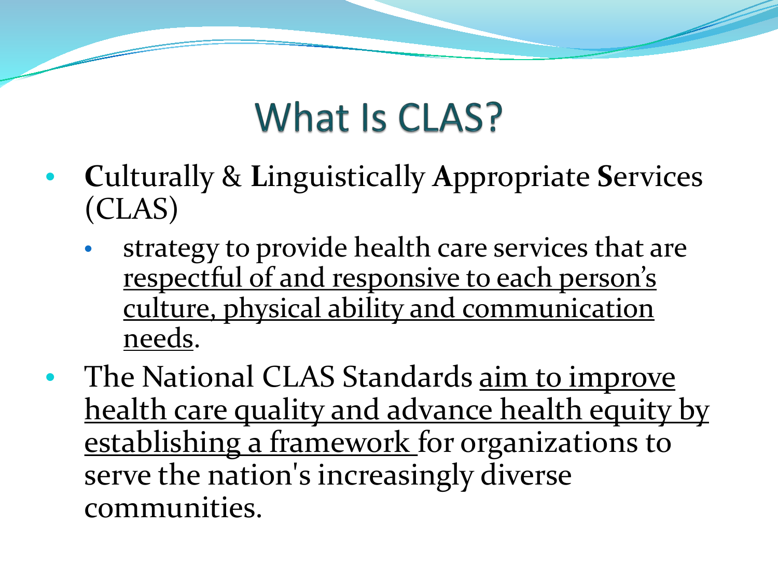#### What Is CLAS?

- **C**ulturally & **L**inguistically **A**ppropriate **S**ervices (CLAS)
	- strategy to provide health care services that are respectful of and responsive to each person's culture, physical ability and communication needs.
- The National CLAS Standards <u>aim to improve</u> health care quality and advance health equity by establishing a framework for organizations to serve the nation's increasingly diverse communities.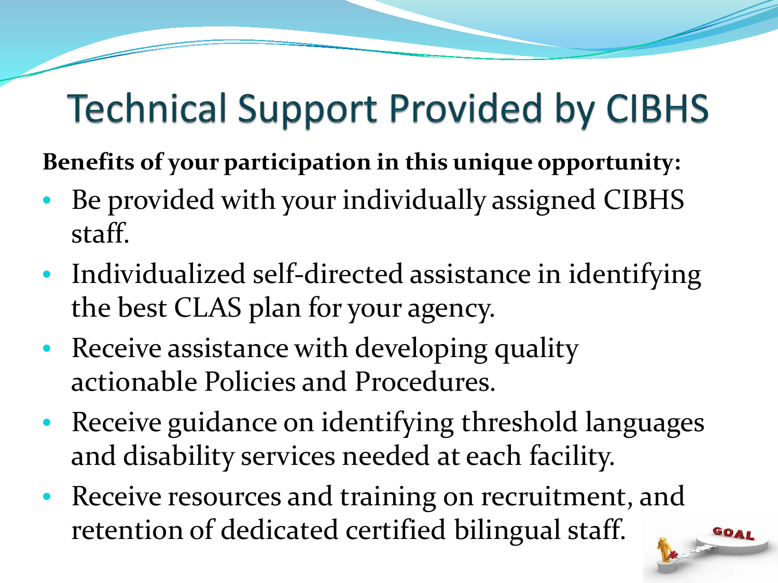#### **Technical Support Provided by CIBHS**

**Benefits of your participation in this unique opportunity:** 

- Be provided with your individually assigned CIBHS staff.
- Individualized self-directed assistance in identifying the best CLAS plan for your agency.
- Receive assistance with developing quality actionable Policies and Procedures.
- Receive guidance on identifying threshold languages and disability services needed at each facility.
- Receive resources and training on recruitment, and retention of dedicated certified bilingual staff.

OAL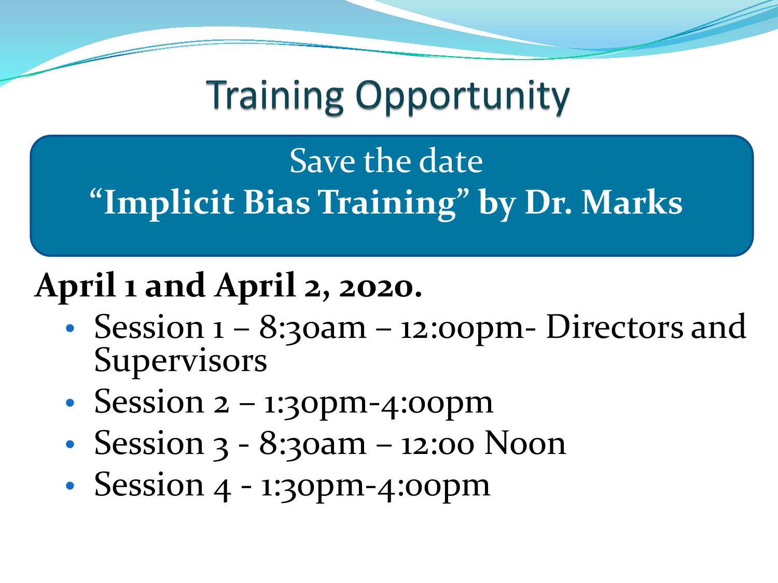**Training Opportunity** 

Save the date **"Implicit Bias Training" by Dr. Marks** 

#### **April 1 and April 2, 2o20.**

- Session  $1 8$ :30am 12:00pm- Directors and Supervisors
- Session 2 1:30pm-4:00pm
- Session 3 8:30am 12:00 Noon
- Session 4 1:30pm-4:00pm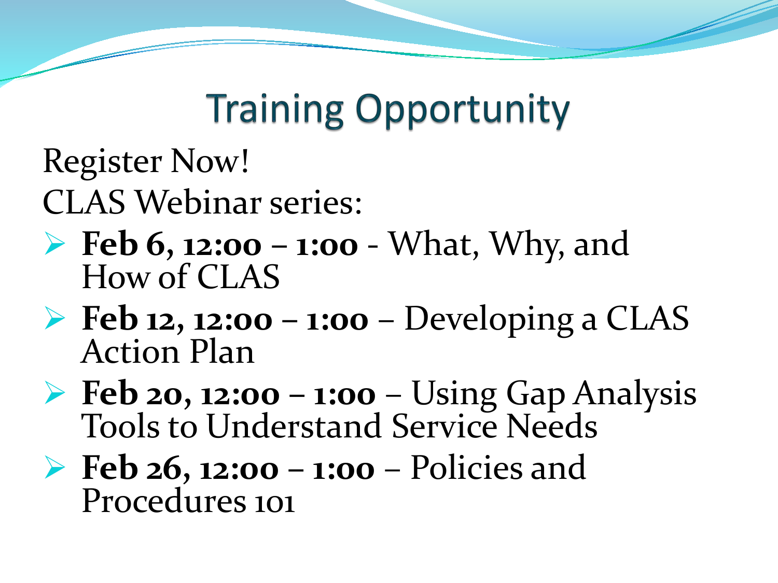#### **Training Opportunity**

Register Now!

CLAS Webinar series:

- **Feb 6, 12:00 – 1:00**  What, Why, and How of CLAS
- **Feb 12, 12:00 – 1:00**  Developing a CLAS Action Plan
- **Feb 20, 12:00 – 1:00**  Using Gap Analysis Tools to Understand Service Needs
- **Feb 26, 12:00 – 1:00**  Policies and Procedures 101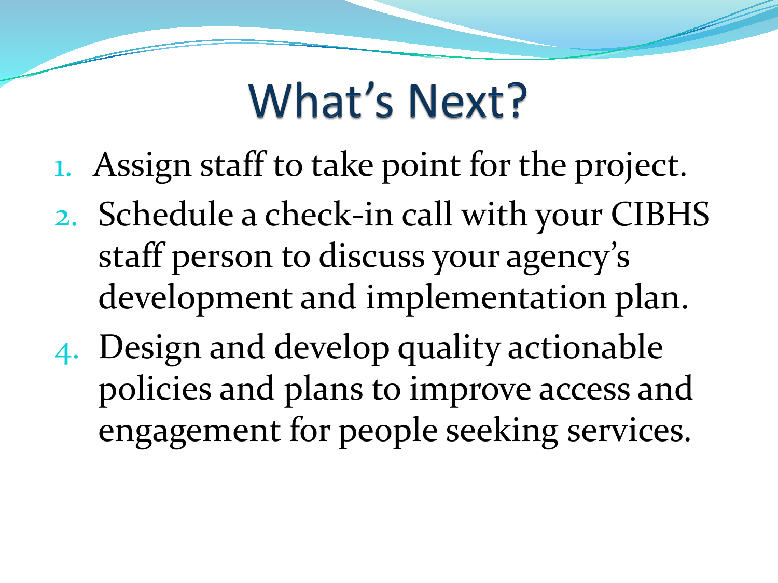### What's Next?

- 1. Assign staff to take point for the project.
- 2. Schedule a check-in call with your CIBHS staff person to discuss your agency's development and implementation plan.
- 4. Design and develop quality actionable policies and plans to improve access and engagement for people seeking services.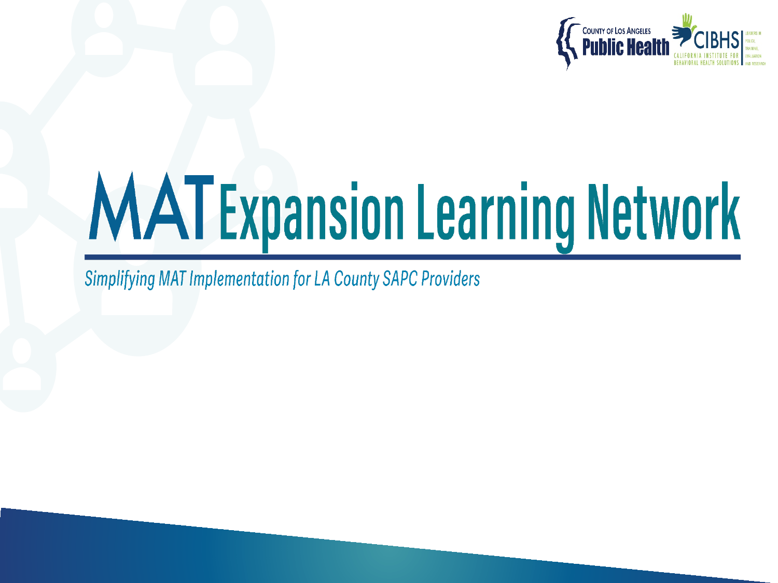

# **MATExpansion Learning Network**

**Simplifying MAT Implementation for LA County SAPC Providers**